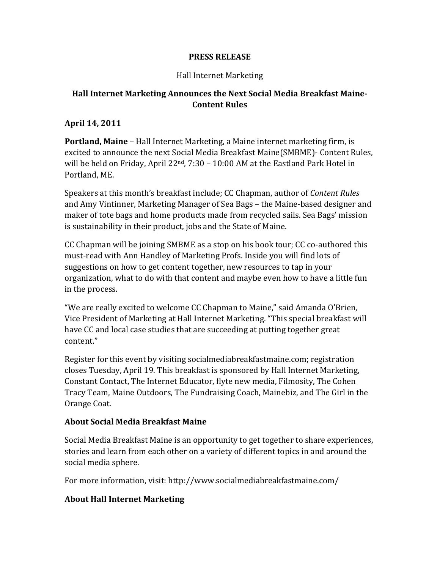### **PRESS RELEASE**

### Hall Internet Marketing

# **Hall Internet Marketing Announces the Next Social Media Breakfast Maine-Content Rules**

### **April 14, 2011**

**Portland, Maine** – Hall Internet Marketing, a Maine internet marketing firm, is excited to announce the next Social Media Breakfast Maine(SMBME)- Content Rules, will be held on Friday, April 22<sup>nd</sup>, 7:30 – 10:00 AM at the Eastland Park Hotel in Portland, ME.

Speakers at this month's breakfast include; CC Chapman, author of *Content Rules* and Amy Vintinner, Marketing Manager of Sea Bags – the Maine-based designer and maker of tote bags and home products made from recycled sails. Sea Bags' mission is sustainability in their product, jobs and the State of Maine.

CC Chapman will be joining SMBME as a stop on his book tour; CC co-authored this must-read with Ann Handley of Marketing Profs. Inside you will find lots of suggestions on how to get content together, new resources to tap in your organization, what to do with that content and maybe even how to have a little fun in the process.

"We are really excited to welcome CC Chapman to Maine," said Amanda O'Brien, Vice President of Marketing at Hall Internet Marketing. "This special breakfast will have CC and local case studies that are succeeding at putting together great content."

Register for this event by visiting socialmediabreakfastmaine.com; registration closes Tuesday, April 19. This breakfast is sponsored by Hall Internet Marketing, Constant Contact, The Internet Educator, flyte new media, Filmosity, The Cohen Tracy Team, Maine Outdoors, The Fundraising Coach, Mainebiz, and The Girl in the Orange Coat.

### **About Social Media Breakfast Maine**

Social Media Breakfast Maine is an opportunity to get together to share experiences, stories and learn from each other on a variety of different topics in and around the social media sphere.

For more information, visit: http://www.socialmediabreakfastmaine.com/

## **About Hall Internet Marketing**